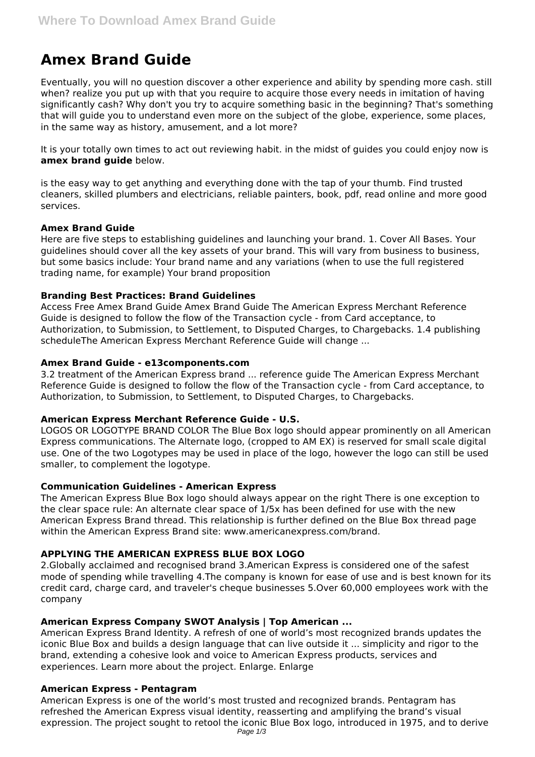# **Amex Brand Guide**

Eventually, you will no question discover a other experience and ability by spending more cash. still when? realize you put up with that you require to acquire those every needs in imitation of having significantly cash? Why don't you try to acquire something basic in the beginning? That's something that will guide you to understand even more on the subject of the globe, experience, some places, in the same way as history, amusement, and a lot more?

It is your totally own times to act out reviewing habit. in the midst of guides you could enjoy now is **amex brand guide** below.

is the easy way to get anything and everything done with the tap of your thumb. Find trusted cleaners, skilled plumbers and electricians, reliable painters, book, pdf, read online and more good services.

## **Amex Brand Guide**

Here are five steps to establishing guidelines and launching your brand. 1. Cover All Bases. Your guidelines should cover all the key assets of your brand. This will vary from business to business, but some basics include: Your brand name and any variations (when to use the full registered trading name, for example) Your brand proposition

# **Branding Best Practices: Brand Guidelines**

Access Free Amex Brand Guide Amex Brand Guide The American Express Merchant Reference Guide is designed to follow the flow of the Transaction cycle - from Card acceptance, to Authorization, to Submission, to Settlement, to Disputed Charges, to Chargebacks. 1.4 publishing scheduleThe American Express Merchant Reference Guide will change ...

## **Amex Brand Guide - e13components.com**

3.2 treatment of the American Express brand ... reference guide The American Express Merchant Reference Guide is designed to follow the flow of the Transaction cycle - from Card acceptance, to Authorization, to Submission, to Settlement, to Disputed Charges, to Chargebacks.

# **American Express Merchant Reference Guide - U.S.**

LOGOS OR LOGOTYPE BRAND COLOR The Blue Box logo should appear prominently on all American Express communications. The Alternate logo, (cropped to AM EX) is reserved for small scale digital use. One of the two Logotypes may be used in place of the logo, however the logo can still be used smaller, to complement the logotype.

#### **Communication Guidelines - American Express**

The American Express Blue Box logo should always appear on the right There is one exception to the clear space rule: An alternate clear space of 1/5x has been defined for use with the new American Express Brand thread. This relationship is further defined on the Blue Box thread page within the American Express Brand site: www.americanexpress.com/brand.

# **APPLYING THE AMERICAN EXPRESS BLUE BOX LOGO**

2.Globally acclaimed and recognised brand 3.American Express is considered one of the safest mode of spending while travelling 4.The company is known for ease of use and is best known for its credit card, charge card, and traveler's cheque businesses 5.Over 60,000 employees work with the company

# **American Express Company SWOT Analysis | Top American ...**

American Express Brand Identity. A refresh of one of world's most recognized brands updates the iconic Blue Box and builds a design language that can live outside it ... simplicity and rigor to the brand, extending a cohesive look and voice to American Express products, services and experiences. Learn more about the project. Enlarge. Enlarge

# **American Express - Pentagram**

American Express is one of the world's most trusted and recognized brands. Pentagram has refreshed the American Express visual identity, reasserting and amplifying the brand's visual expression. The project sought to retool the iconic Blue Box logo, introduced in 1975, and to derive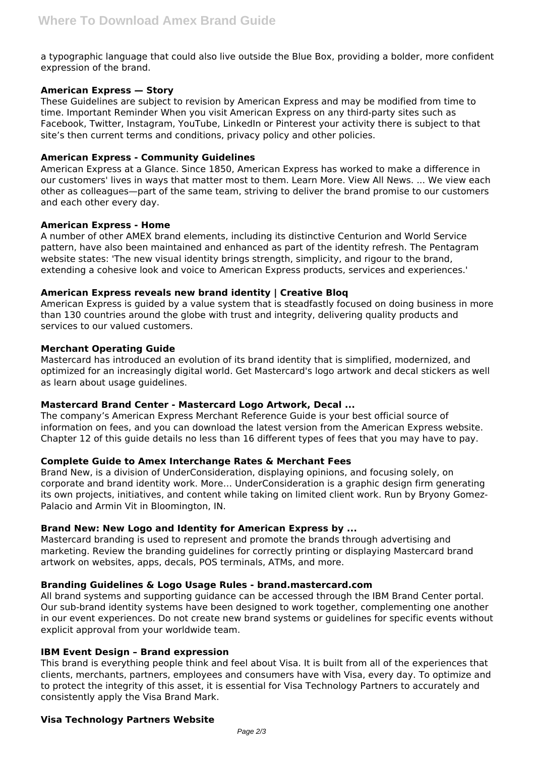a typographic language that could also live outside the Blue Box, providing a bolder, more confident expression of the brand.

# **American Express — Story**

These Guidelines are subject to revision by American Express and may be modified from time to time. Important Reminder When you visit American Express on any third-party sites such as Facebook, Twitter, Instagram, YouTube, LinkedIn or Pinterest your activity there is subject to that site's then current terms and conditions, privacy policy and other policies.

#### **American Express - Community Guidelines**

American Express at a Glance. Since 1850, American Express has worked to make a difference in our customers' lives in ways that matter most to them. Learn More. View All News. ... We view each other as colleagues—part of the same team, striving to deliver the brand promise to our customers and each other every day.

## **American Express - Home**

A number of other AMEX brand elements, including its distinctive Centurion and World Service pattern, have also been maintained and enhanced as part of the identity refresh. The Pentagram website states: 'The new visual identity brings strength, simplicity, and rigour to the brand, extending a cohesive look and voice to American Express products, services and experiences.'

## **American Express reveals new brand identity | Creative Bloq**

American Express is guided by a value system that is steadfastly focused on doing business in more than 130 countries around the globe with trust and integrity, delivering quality products and services to our valued customers.

## **Merchant Operating Guide**

Mastercard has introduced an evolution of its brand identity that is simplified, modernized, and optimized for an increasingly digital world. Get Mastercard's logo artwork and decal stickers as well as learn about usage guidelines.

# **Mastercard Brand Center - Mastercard Logo Artwork, Decal ...**

The company's American Express Merchant Reference Guide is your best official source of information on fees, and you can download the latest version from the American Express website. Chapter 12 of this guide details no less than 16 different types of fees that you may have to pay.

#### **Complete Guide to Amex Interchange Rates & Merchant Fees**

Brand New, is a division of UnderConsideration, displaying opinions, and focusing solely, on corporate and brand identity work. More… UnderConsideration is a graphic design firm generating its own projects, initiatives, and content while taking on limited client work. Run by Bryony Gomez-Palacio and Armin Vit in Bloomington, IN.

## **Brand New: New Logo and Identity for American Express by ...**

Mastercard branding is used to represent and promote the brands through advertising and marketing. Review the branding guidelines for correctly printing or displaying Mastercard brand artwork on websites, apps, decals, POS terminals, ATMs, and more.

#### **Branding Guidelines & Logo Usage Rules - brand.mastercard.com**

All brand systems and supporting guidance can be accessed through the IBM Brand Center portal. Our sub-brand identity systems have been designed to work together, complementing one another in our event experiences. Do not create new brand systems or guidelines for specific events without explicit approval from your worldwide team.

#### **IBM Event Design – Brand expression**

This brand is everything people think and feel about Visa. It is built from all of the experiences that clients, merchants, partners, employees and consumers have with Visa, every day. To optimize and to protect the integrity of this asset, it is essential for Visa Technology Partners to accurately and consistently apply the Visa Brand Mark.

#### **Visa Technology Partners Website**